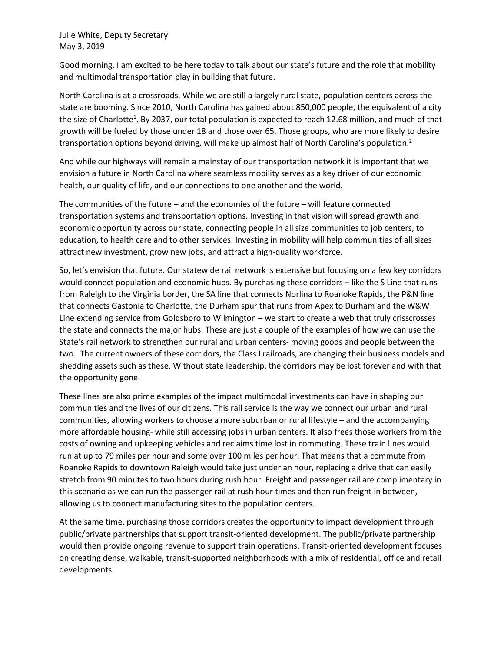Julie White, Deputy Secretary May 3, 2019

Good morning. I am excited to be here today to talk about our state's future and the role that mobility and multimodal transportation play in building that future.

North Carolina is at a crossroads. While we are still a largely rural state, population centers across the state are booming. Since 2010, North Carolina has gained about 850,000 people, the equivalent of a city the size of Charlotte<sup>1</sup>. By 2037, our total population is expected to reach 12.68 million, and much of that growth will be fueled by those under 18 and those over 65. Those groups, who are more likely to desire transportation options beyond driving, will make up almost half of North Carolina's population.<sup>2</sup>

And while our highways will remain a mainstay of our transportation network it is important that we envision a future in North Carolina where seamless mobility serves as a key driver of our economic health, our quality of life, and our connections to one another and the world.

The communities of the future – and the economies of the future – will feature connected transportation systems and transportation options. Investing in that vision will spread growth and economic opportunity across our state, connecting people in all size communities to job centers, to education, to health care and to other services. Investing in mobility will help communities of all sizes attract new investment, grow new jobs, and attract a high-quality workforce.

So, let's envision that future. Our statewide rail network is extensive but focusing on a few key corridors would connect population and economic hubs. By purchasing these corridors – like the S Line that runs from Raleigh to the Virginia border, the SA line that connects Norlina to Roanoke Rapids, the P&N line that connects Gastonia to Charlotte, the Durham spur that runs from Apex to Durham and the W&W Line extending service from Goldsboro to Wilmington – we start to create a web that truly crisscrosses the state and connects the major hubs. These are just a couple of the examples of how we can use the State's rail network to strengthen our rural and urban centers- moving goods and people between the two. The current owners of these corridors, the Class I railroads, are changing their business models and shedding assets such as these. Without state leadership, the corridors may be lost forever and with that the opportunity gone.

These lines are also prime examples of the impact multimodal investments can have in shaping our communities and the lives of our citizens. This rail service is the way we connect our urban and rural communities, allowing workers to choose a more suburban or rural lifestyle – and the accompanying more affordable housing- while still accessing jobs in urban centers. It also frees those workers from the costs of owning and upkeeping vehicles and reclaims time lost in commuting. These train lines would run at up to 79 miles per hour and some over 100 miles per hour. That means that a commute from Roanoke Rapids to downtown Raleigh would take just under an hour, replacing a drive that can easily stretch from 90 minutes to two hours during rush hour. Freight and passenger rail are complimentary in this scenario as we can run the passenger rail at rush hour times and then run freight in between, allowing us to connect manufacturing sites to the population centers.

At the same time, purchasing those corridors creates the opportunity to impact development through public/private partnerships that support transit-oriented development. The public/private partnership would then provide ongoing revenue to support train operations. Transit-oriented development focuses on creating dense, walkable, transit-supported neighborhoods with a mix of residential, office and retail developments.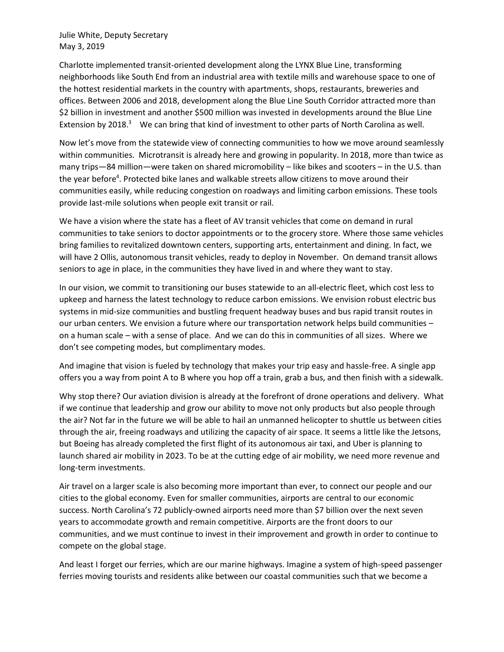Julie White, Deputy Secretary May 3, 2019

Charlotte implemented transit-oriented development along the LYNX Blue Line, transforming neighborhoods like South End from an industrial area with textile mills and warehouse space to one of the hottest residential markets in the country with apartments, shops, restaurants, breweries and offices. Between 2006 and 2018, development along the Blue Line South Corridor attracted more than \$2 billion in investment and another \$500 million was invested in developments around the Blue Line Extension by 2018.<sup>3</sup> We can bring that kind of investment to other parts of North Carolina as well.

Now let's move from the statewide view of connecting communities to how we move around seamlessly within communities. Microtransit is already here and growing in popularity. In 2018, more than twice as many trips—84 million—were taken on shared micromobility – like bikes and scooters – in the U.S. than the year before<sup>4</sup>. Protected bike lanes and walkable streets allow citizens to move around their communities easily, while reducing congestion on roadways and limiting carbon emissions. These tools provide last-mile solutions when people exit transit or rail.

We have a vision where the state has a fleet of AV transit vehicles that come on demand in rural communities to take seniors to doctor appointments or to the grocery store. Where those same vehicles bring families to revitalized downtown centers, supporting arts, entertainment and dining. In fact, we will have 2 Ollis, autonomous transit vehicles, ready to deploy in November. On demand transit allows seniors to age in place, in the communities they have lived in and where they want to stay.

In our vision, we commit to transitioning our buses statewide to an all-electric fleet, which cost less to upkeep and harness the latest technology to reduce carbon emissions. We envision robust electric bus systems in mid-size communities and bustling frequent headway buses and bus rapid transit routes in our urban centers. We envision a future where our transportation network helps build communities – on a human scale – with a sense of place. And we can do this in communities of all sizes. Where we don't see competing modes, but complimentary modes.

And imagine that vision is fueled by technology that makes your trip easy and hassle-free. A single app offers you a way from point A to B where you hop off a train, grab a bus, and then finish with a sidewalk.

Why stop there? Our aviation division is already at the forefront of drone operations and delivery. What if we continue that leadership and grow our ability to move not only products but also people through the air? Not far in the future we will be able to hail an unmanned helicopter to shuttle us between cities through the air, freeing roadways and utilizing the capacity of air space. It seems a little like the Jetsons, but Boeing has already completed the first flight of its autonomous air taxi, and Uber is planning to launch shared air mobility in 2023. To be at the cutting edge of air mobility, we need more revenue and long-term investments.

Air travel on a larger scale is also becoming more important than ever, to connect our people and our cities to the global economy. Even for smaller communities, airports are central to our economic success. North Carolina's 72 publicly-owned airports need more than \$7 billion over the next seven years to accommodate growth and remain competitive. Airports are the front doors to our communities, and we must continue to invest in their improvement and growth in order to continue to compete on the global stage.

And least I forget our ferries, which are our marine highways. Imagine a system of high-speed passenger ferries moving tourists and residents alike between our coastal communities such that we become a